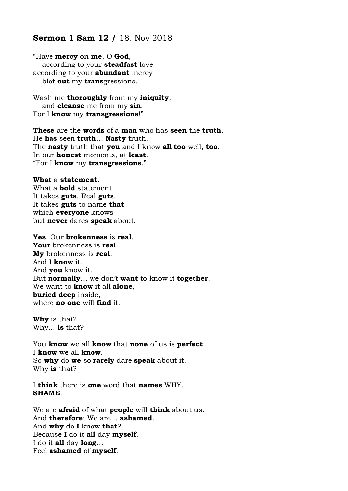# **Sermon 1 Sam 12 /** 18. Nov 2018

"Have **mercy** on **me**, O **God**, according to your **steadfast** love; according to your **abundant** mercy blot **out** my **trans**gressions.

Wash me **thoroughly** from my **iniquity**, and **cleanse** me from my **sin**. For I **know** my **transgressions**!"

**These** are the **words** of a **man** who has **seen** the **truth**. He **has** seen **truth**… **Nasty** truth. The **nasty** truth that **you** and I know **all too** well, **too**. In our **honest** moments, at **least**. "For I **know** my **transgressions**."

#### **What** a **statement**.

What a **bold** statement. It takes **guts**. Real **guts**. It takes **guts** to name **that** which **everyone** knows but **never** dares **speak** about.

### **Yes**. Our **brokenness** is **real**.

**Your** brokenness is **real**. **My** brokenness is **real**. And I **know** it. And **you** know it. But **normally**… we don't **want** to know it **together**. We want to **know** it all **alone**, **buried deep** inside, where **no one** will **find** it.

**Why** is that? Why… **is** that?

You **know** we all **know** that **none** of us is **perfect**. I **know** we all **know**. So **why** do **we** so **rarely** dare **speak** about it. Why **is** that?

I **think** there is **one** word that **names** WHY. **SHAME**.

We are **afraid** of what **people** will **think** about us. And **therefore**: We are… **ashamed**. And **why** do **I** know **that**? Because **I** do it **all** day **myself**. I do it **all** day **long**… Feel **ashamed** of **myself**.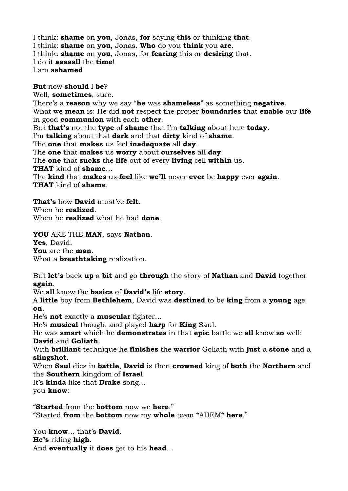I think: **shame** on **you**, Jonas, **for** saying **this** or thinking **that**. I think: **shame** on **you**, Jonas. **Who** do you **think** you **are**. I think: **shame** on **you**, Jonas, for **fearing** this or **desiring** that. I do it **aaaaall** the **time**! I am **ashamed**.

### **But** now **should** I **be**?

Well, **sometimes**, sure. There's a **reason** why we say "**he** was **shameless**" as something **negative**. What we **mean** is: He did **not** respect the proper **boundaries** that **enable** our **life** in good **communion** with each **other**. But **that's** not the **type** of **shame** that I'm **talking** about here **today**. I'm **talking** about that **dark** and that **dirty** kind of **shame**. The **one** that **makes** us feel **inadequate** all **day**. The **one** that **makes** us **worry** about **ourselves** all **day**. The **one** that **sucks** the **life** out of every **living** cell **within** us. **THAT** kind of **shame**… The **kind** that **makes** us **feel** like **we'll** never **ever** be **happy** ever **again**. **THAT** kind of **shame**.

**That's** how **David** must've **felt**. When he **realized**. When he **realized** what he had **done**.

**YOU** ARE THE **MAN**, says **Nathan**.

**Yes**, David.

**You** are the **man**.

What a **breathtaking** realization.

But **let's** back **up** a **bit** and go **through** the story of **Nathan** and **David** together **again**.

We **all** know the **basics** of **David's** life **story**.

A **little** boy from **Bethlehem**, David was **destined** to be **king** from a **young** age **on**.

He's **not** exactly a **muscular** fighter…

He's **musical** though, and played **harp** for **King** Saul.

He was **smart** which he **demonstrates** in that **epic** battle we **all** know **so** well: **David** and **Goliath**.

With **brilliant** technique he **finishes** the **warrior** Goliath with **just** a **stone** and a **slingshot**.

When **Saul** dies in **battle**, **David** is then **crowned** king of **both** the **Northern** and the **Southern** kingdom of **Israel**.

It's **kinda** like that **Drake** song… you **know**:

"**Started** from the **bottom** now we **here**." "Started **from** the **bottom** now my **whole** team \*AHEM\* **here**."

You **know**… that's **David**. **He's** riding **high**. And **eventually** it **does** get to his **head**…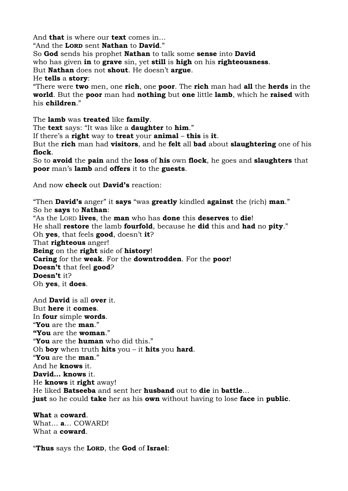And **that** is where our **text** comes in…

"And the **LORD** sent **Nathan** to **David**."

So **God** sends his prophet **Nathan** to talk some **sense** into **David**

who has given **in** to **grave** sin, yet **still** is **high** on his **righteousness**.

But **Nathan** does not **shout**. He doesn't **argue**.

He **tells** a **story**:

"There were **two** men, one **rich**, one **poor**. The **rich** man had **all** the **herds** in the **world**. But the **poor** man had **nothing** but **one** little **lamb**, which he **raised** with his **children**."

The **lamb** was **treated** like **family**.

The **text** says: "It was like a **daughter** to **him**."

If there's a **right** way to **treat** your **animal** – **this** is **it**.

But the **rich** man had **visitors**, and he **felt** all **bad** about **slaughtering** one of his **flock**.

So to **avoid** the **pain** and the **loss** of **his** own **flock**, he goes and **slaughters** that **poor** man's **lamb** and **offers** it to the **guests**.

And now **check** out **David's** reaction:

"Then **David's** anger" it **says** "was **greatly** kindled **against** the (rich) **man**." So he **says** to **Nathan**: "As the LORD **lives**, the **man** who has **done** this **deserves** to **die**! He shall **restore** the lamb **fourfold**, because he **did** this and **had** no **pity**." Oh **yes**, that feels **good**, doesn't **it**? That **righteous** anger! **Being** on the **right** side of **history**! **Caring** for the **weak**. For the **downtrodden**. For the **poor**! **Doesn't** that feel **good**? **Doesn't** it?

Oh **yes**, it **does**.

And **David** is all **over** it. But **here** it **comes**. In **four** simple **words**. "**You** are the **man**." **"You** are the **woman**." "**You** are the **human** who did this." Oh **boy** when truth **hits** you – it **hits** you **hard**. "**You** are the **man**." And he **knows** it. **David… knows** it. He **knows** it **right** away! He liked **Batseeba** and sent her **husband** out to **die** in **battle**… **just** so he could **take** her as his **own** without having to lose **face** in **public**.

**What** a **coward**. What… **a**… COWARD! What a **coward**.

"**Thus** says the **LORD**, the **God** of **Israel**: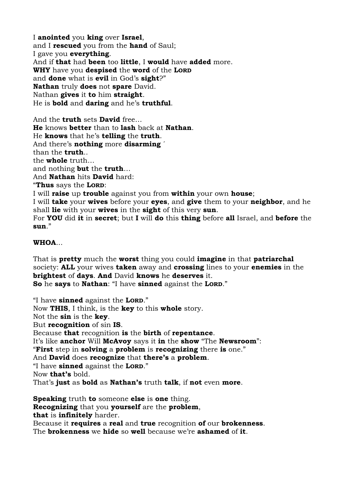I **anointed** you **king** over **Israel**, and I **rescued** you from the **hand** of Saul; I gave you **everything**. And if **that** had **been** too **little**, I **would** have **added** more. **WHY** have you **despised** the **word** of the **LORD** and **done** what is **evil** in God's **sight**?" **Nathan** truly **does** not **spare** David. Nathan **gives** it **to** him **straight**. He is **bold** and **daring** and he's **truthful**.

And the **truth** sets **David** free… **He** knows **better** than to **lash** back at **Nathan**. He **knows** that he's **telling** the **truth**. And there's **nothing** more **disarming** ´ than the **truth**.. the **whole** truth… and nothing **but** the **truth**… And **Nathan** hits **David** hard: "**Thus** says the **LORD**: I will **raise** up **trouble** against you from **within** your own **house**; I will **take** your **wives** before your **eyes**, and **give** them to your **neighbor**, and he shall **lie** with your **wives** in the **sight** of this very **sun**. For **YOU** did **it** in **secret**; but **I** will **do** this **thing** before **all** Israel, and **before** the **sun**."

# **WHOA**...

That is **pretty** much the **worst** thing you could **imagine** in that **patriarchal** society: **ALL** your wives **taken** away and **crossing** lines to your **enemies** in the **brightest** of **days**. **And** David **knows** he **deserves** it. **So** he **says** to **Nathan**: "I have **sinned** against the **LORD**."

"I have **sinned** against the **LORD**." Now **THIS**, I think, is the **key** to this **whole** story. Not the **sin** is the **key**. But **recognition** of sin **IS**. Because **that** recognition **is** the **birth** of **repentance**. It's like **anchor** Will **McAvoy** says it **in** the **show** "The **Newsroom**": "**First** step in **solving** a **problem** is **recognizing** there **is** one." And **David** does **recognize** that **there's** a **problem**. "I have **sinned** against the **LORD**." Now **that's** bold. That's **just** as **bold** as **Nathan's** truth **talk**, if **not** even **more**. **Speaking** truth **to** someone **else** is **one** thing.

**Recognizing** that you **yourself** are the **problem**, **that** is **infinitely** harder. Because it **requires** a **real** and **true** recognition **of** our **brokenness**. The **brokenness** we **hide** so **well** because we're **ashamed** of **it**.